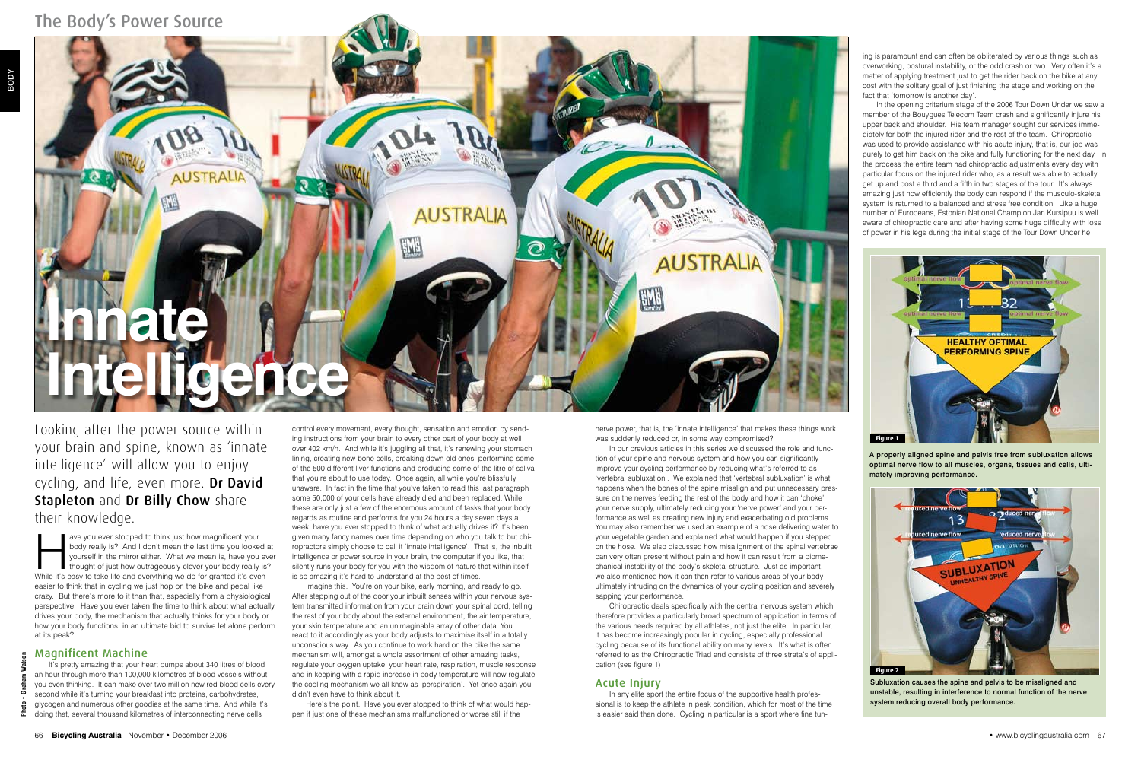ave you ever stopped to think just how magnificent your body really is? And I don't mean the last time you looked yourself in the mirror either. What we mean is, have you everything we do for granted it's even while it's e body really is? And I don't mean the last time you looked at yourself in the mirror either. What we mean is, have you ever thought of just how outrageously clever your body really is? easier to think that in cycling we just hop on the bike and pedal like crazy. But there's more to it than that, especially from a physiological perspective. Have you ever taken the time to think about what actually drives your body, the mechanism that actually thinks for your body or how your body functions, in an ultimate bid to survive let alone perform at its peak?

It's pretty amazing that your heart pumps about 340 litres of blood an hour through more than 100,000 kilometres of blood vessels without you even thinking. It can make over two million new red blood cells every second while it's turning your breakfast into proteins, carbohydrates, glycogen and numerous other goodies at the same time. And while it's doing that, several thousand kilometres of interconnecting nerve cells

## Magnificent Machine

control every movement, every thought, sensation and emotion by sending instructions from your brain to every other part of your body at well over 402 km/h. And while it's juggling all that, it's renewing your stomach lining, creating new bone cells, breaking down old ones, performing some of the 500 different liver functions and producing some of the litre of saliva that you're about to use today. Once again, all while you're blissfully unaware. In fact in the time that you've taken to read this last paragraph some 50,000 of your cells have already died and been replaced. While these are only just a few of the enormous amount of tasks that your body regards as routine and performs for you 24 hours a day seven days a week, have you ever stopped to think of what actually drives it? It's been given many fancy names over time depending on who you talk to but chiropractors simply choose to call it 'innate intelligence'. That is, the inbuilt intelligence or power source in your brain, the computer if you like, that silently runs your body for you with the wisdom of nature that within itself is so amazing it's hard to understand at the best of times.

Imagine this. You're on your bike, early morning, and ready to go. After stepping out of the door your inbuilt senses within your nervous system transmitted information from your brain down your spinal cord, telling the rest of your body about the external environment, the air temperature, your skin temperature and an unimaginable array of other data. You react to it accordingly as your body adjusts to maximise itself in a totally unconscious way. As you continue to work hard on the bike the same mechanism will, amongst a whole assortment of other amazing tasks, regulate your oxygen uptake, your heart rate, respiration, muscle response and in keeping with a rapid increase in body temperature will now regulate the cooling mechanism we all know as 'perspiration'. Yet once again you didn't even have to think about it.

Here's the point. Have you ever stopped to think of what would happen if just one of these mechanisms malfunctioned or worse still if the



Looking after the power source within your brain and spine, known as 'innate intelligence' will allow you to enjoy cycling, and life, even more. Dr David Stapleton and Dr Billy Chow share their knowledge.

ing is paramount and can often be obliterated by various things such as overworking, postural instability, or the odd crash or two. Very often it's a matter of applying treatment just to get the rider back on the bike at any cost with the solitary goal of just finishing the stage and working on the fact that 'tomorrow is another day'.

In the opening criterium stage of the 2006 Tour Down Under we saw a member of the Bouygues Telecom Team crash and significantly injure his upper back and shoulder. His team manager sought our services immediately for both the injured rider and the rest of the team. Chiropractic was used to provide assistance with his acute injury, that is, our job was purely to get him back on the bike and fully functioning for the next day. In the process the entire team had chiropractic adjustments every day with particular focus on the injured rider who, as a result was able to actually get up and post a third and a fifth in two stages of the tour. It's always amazing just how efficiently the body can respond if the musculo-skeletal system is returned to a balanced and stress free condition. Like a huge number of Europeans, Estonian National Champion Jan Kursipuu is well aware of chiropractic care and after having some huge difficulty with loss of power in his legs during the initial stage of the Tour Down Under he

A properly aligned spine and pelvis free from subluxation allows optimal nerve flow to all muscles, organs, tissues and cells, ultimately improving performance.

nerve power, that is, the 'innate intelligence' that makes these things work was suddenly reduced or, in some way compromised?

In our previous articles in this series we discussed the role and function of your spine and nervous system and how you can significantly improve your cycling performance by reducing what's referred to as 'vertebral subluxation'. We explained that 'vertebral subluxation' is what happens when the bones of the spine misalign and put unnecessary pressure on the nerves feeding the rest of the body and how it can 'choke' your nerve supply, ultimately reducing your 'nerve power' and your performance as well as creating new injury and exacerbating old problems. You may also remember we used an example of a hose delivering water to your vegetable garden and explained what would happen if you stepped on the hose. We also discussed how misalignment of the spinal vertebrae can very often present without pain and how it can result from a biomechanical instability of the body's skeletal structure. Just as important, we also mentioned how it can then refer to various areas of your body ultimately intruding on the dynamics of your cycling position and severely sapping your performance.



Subluxation causes the spine and pelvis to be misaligned and unstable, resulting in interference to normal function of the nerve system reducing overall body performance.

Chiropractic deals specifically with the central nervous system which therefore provides a particularly broad spectrum of application in terms of the various needs required by all athletes, not just the elite. In particular, it has become increasingly popular in cycling, especially professional cycling because of its functional ability on many levels. It's what is often referred to as the Chiropractic Triad and consists of three strata's of application (see figure 1)

## Acute Injury

In any elite sport the entire focus of the supportive health professional is to keep the athlete in peak condition, which for most of the time is easier said than done. Cycling in particular is a sport where fine tun-

**Photo • Graham Watson**